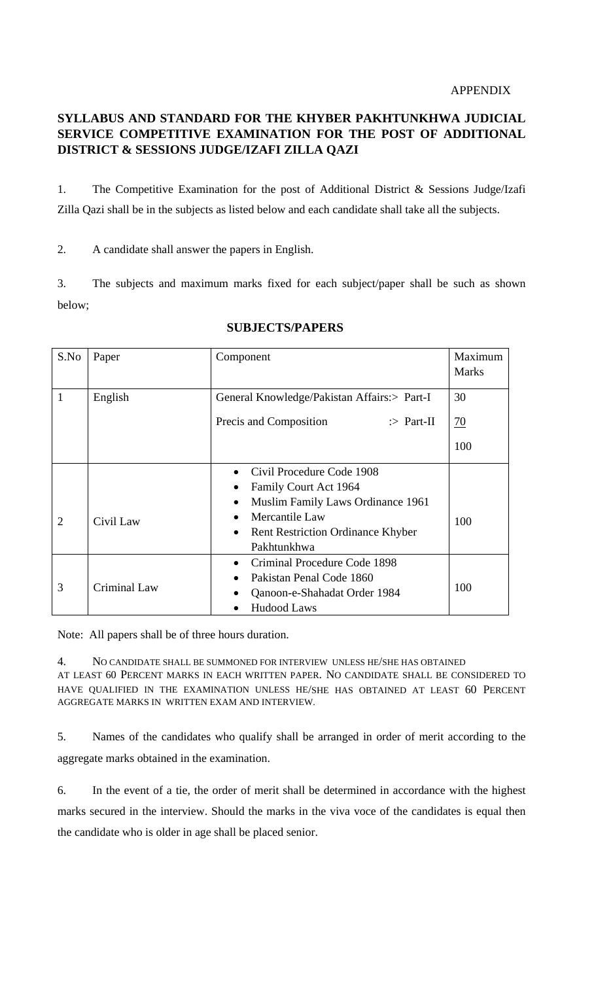## **SYLLABUS AND STANDARD FOR THE KHYBER PAKHTUNKHWA JUDICIAL SERVICE COMPETITIVE EXAMINATION FOR THE POST OF ADDITIONAL DISTRICT & SESSIONS JUDGE/IZAFI ZILLA QAZI**

1. The Competitive Examination for the post of Additional District & Sessions Judge/Izafi Zilla Qazi shall be in the subjects as listed below and each candidate shall take all the subjects.

2. A candidate shall answer the papers in English.

3. The subjects and maximum marks fixed for each subject/paper shall be such as shown below;

| S.No           | Paper        | Component                                             | Maximum<br><b>Marks</b> |
|----------------|--------------|-------------------------------------------------------|-------------------------|
| $\mathbf{1}$   |              |                                                       | 30                      |
|                | English      | General Knowledge/Pakistan Affairs:> Part-I           |                         |
|                |              | Precis and Composition<br>$\therefore$ Part-II        | <u>70</u>               |
|                |              |                                                       | 100                     |
|                |              | Civil Procedure Code 1908                             |                         |
|                |              | Family Court Act 1964                                 |                         |
| $\overline{2}$ | Civil Law    | Muslim Family Laws Ordinance 1961<br>٠                | 100                     |
|                |              | Mercantile Law                                        |                         |
|                |              | <b>Rent Restriction Ordinance Khyber</b><br>$\bullet$ |                         |
|                |              | Pakhtunkhwa                                           |                         |
|                |              | Criminal Procedure Code 1898                          |                         |
| 3              | Criminal Law | Pakistan Penal Code 1860                              | 100                     |
|                |              | Qanoon-e-Shahadat Order 1984                          |                         |
|                |              | <b>Hudood Laws</b>                                    |                         |

## **SUBJECTS/PAPERS**

Note: All papers shall be of three hours duration.

4. NO CANDIDATE SHALL BE SUMMONED FOR INTERVIEW UNLESS HE/SHE HAS OBTAINED AT LEAST 60 PERCENT MARKS IN EACH WRITTEN PAPER. NO CANDIDATE SHALL BE CONSIDERED TO HAVE QUALIFIED IN THE EXAMINATION UNLESS HE/SHE HAS OBTAINED AT LEAST 60 PERCENT AGGREGATE MARKS IN WRITTEN EXAM AND INTERVIEW.

5. Names of the candidates who qualify shall be arranged in order of merit according to the aggregate marks obtained in the examination.

6. In the event of a tie, the order of merit shall be determined in accordance with the highest marks secured in the interview. Should the marks in the viva voce of the candidates is equal then the candidate who is older in age shall be placed senior.